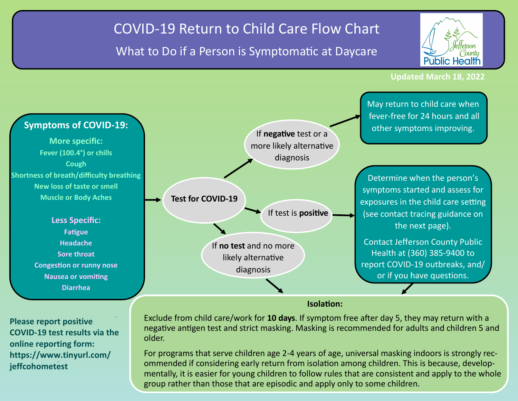## COVID-19 Return to Child Care Flow Chart

## What to Do if a Person is Symptomatic at Daycare



**Updated March 18, 2022**



**Please report positive COVID-19 test results via the online reporting form: https://www.tinyurl.com/ jeffcohometest**

Exclude from child care/work for **10 days**. If symptom free after day 5, they may return with a negative antigen test and strict masking. Masking is recommended for adults and children 5 and older.

For programs that serve children age 2-4 years of age, universal masking indoors is strongly recommended if considering early return from isolation among children. This is because, developmentally, it is easier for young children to follow rules that are consistent and apply to the whole group rather than those that are episodic and apply only to some children.